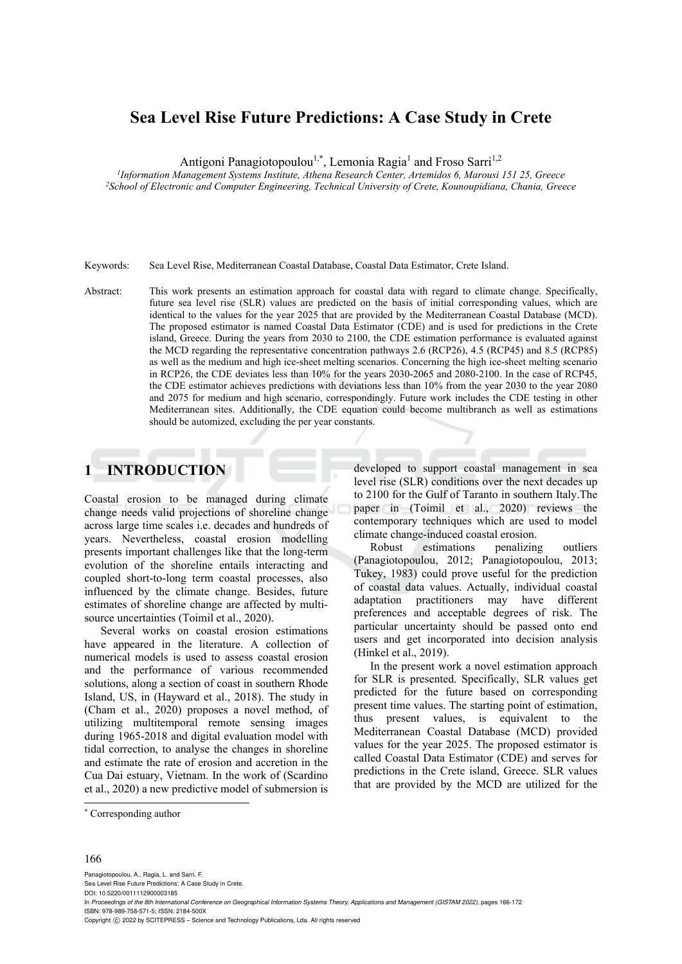# **Sea Level Rise Future Predictions: A Case Study in Crete**

Antigoni Panagiotopoulou<sup>1,\*</sup>, Lemonia Ragia<sup>1</sup> and Froso Sarri<sup>1,2</sup>

*1Information Management Systems Institute, Athena Research Center, Artemidos 6, Marousi 151 25, Greece 2School of Electronic and Computer Engineering, Technical University of Crete, Kounoupidiana, Chania, Greece* 

Keywords: Sea Level Rise, Mediterranean Coastal Database, Coastal Data Estimator, Crete Island.

Abstract: This work presents an estimation approach for coastal data with regard to climate change. Specifically, future sea level rise (SLR) values are predicted on the basis of initial corresponding values, which are identical to the values for the year 2025 that are provided by the Mediterranean Coastal Database (MCD). The proposed estimator is named Coastal Data Estimator (CDE) and is used for predictions in the Crete island, Greece. During the years from 2030 to 2100, the CDE estimation performance is evaluated against the MCD regarding the representative concentration pathways 2.6 (RCP26), 4.5 (RCP45) and 8.5 (RCP85) as well as the medium and high ice-sheet melting scenarios. Concerning the high ice-sheet melting scenario in RCP26, the CDE deviates less than 10% for the years 2030-2065 and 2080-2100. In the case of RCP45, the CDE estimator achieves predictions with deviations less than 10% from the year 2030 to the year 2080 and 2075 for medium and high scenario, correspondingly. Future work includes the CDE testing in other Mediterranean sites. Additionally, the CDE equation could become multibranch as well as estimations should be automized, excluding the per year constants.

## **1 INTRODUCTION**

Coastal erosion to be managed during climate change needs valid projections of shoreline change across large time scales i.e. decades and hundreds of years. Nevertheless, coastal erosion modelling presents important challenges like that the long-term evolution of the shoreline entails interacting and coupled short-to-long term coastal processes, also influenced by the climate change. Besides, future estimates of shoreline change are affected by multisource uncertainties (Toimil et al., 2020).

Several works on coastal erosion estimations have appeared in the literature. A collection of numerical models is used to assess coastal erosion and the performance of various recommended solutions, along a section of coast in southern Rhode Island, US, in (Hayward et al., 2018). The study in (Cham et al., 2020) proposes a novel method, of utilizing multitemporal remote sensing images during 1965-2018 and digital evaluation model with tidal correction, to analyse the changes in shoreline and estimate the rate of erosion and accretion in the Cua Dai estuary, Vietnam. In the work of (Scardino et al., 2020) a new predictive model of submersion is

developed to support coastal management in sea level rise (SLR) conditions over the next decades up to 2100 for the Gulf of Taranto in southern Italy.The paper in (Toimil et al., 2020) reviews the contemporary techniques which are used to model climate change-induced coastal erosion.

Robust estimations penalizing outliers (Panagiotopoulou, 2012; Panagiotopoulou, 2013; Tukey, 1983) could prove useful for the prediction of coastal data values. Actually, individual coastal adaptation practitioners may have different preferences and acceptable degrees of risk. The particular uncertainty should be passed onto end users and get incorporated into decision analysis (Hinkel et al., 2019).

In the present work a novel estimation approach for SLR is presented. Specifically, SLR values get predicted for the future based on corresponding present time values. The starting point of estimation, thus present values, is equivalent to the Mediterranean Coastal Database (MCD) provided values for the year 2025. The proposed estimator is called Coastal Data Estimator (CDE) and serves for predictions in the Crete island, Greece. SLR values that are provided by the MCD are utilized for the

#### 166

Panagiotopoulou, A., Ragia, L. and Sarri, F. Sea Level Rise Future Predictions: A Case Study in Crete. DOI: 10.5220/0011112900003185 In *Proceedings of the 8th International Conference on Geographical Information Systems Theory, Applications and Management (GISTAM 2022)*, pages 166-172 ISBN: 978-989-758-571-5; ISSN: 2184-500X Copyright (C) 2022 by SCITEPRESS - Science and Technology Publications, Lda. All rights reserved

<sup>\*</sup> Corresponding author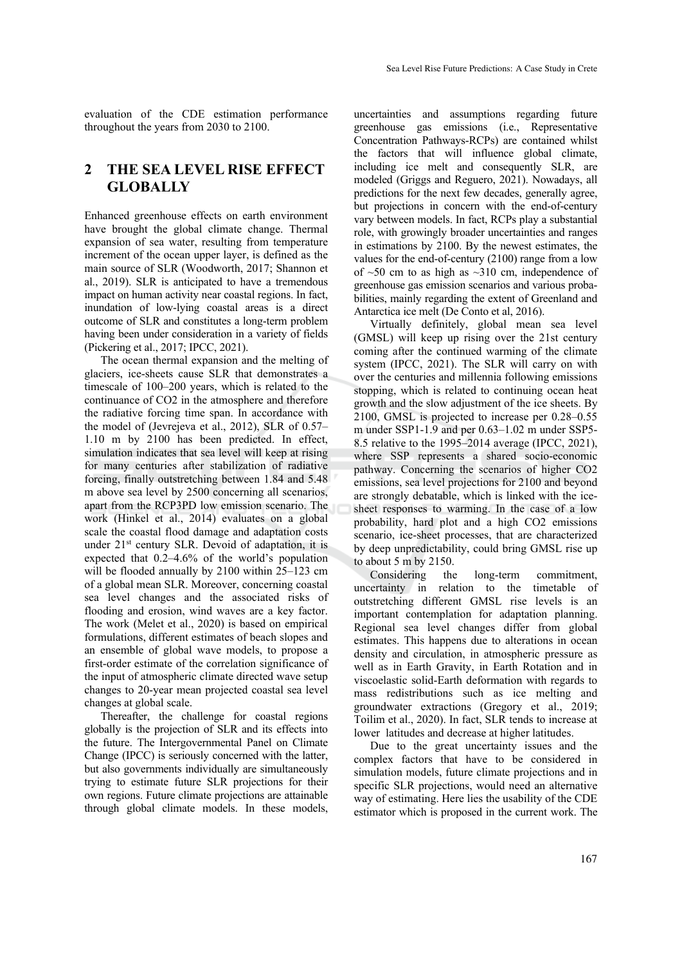evaluation of the CDE estimation performance throughout the years from 2030 to 2100.

## **2 THE SEA LEVEL RISE EFFECT GLOBALLY**

Enhanced greenhouse effects on earth environment have brought the global climate change. Thermal expansion of sea water, resulting from temperature increment of the ocean upper layer, is defined as the main source of SLR (Woodworth, 2017; Shannon et al., 2019). SLR is anticipated to have a tremendous impact on human activity near coastal regions. In fact, inundation of low-lying coastal areas is a direct outcome of SLR and constitutes a long-term problem having been under consideration in a variety of fields (Pickering et al., 2017; IPCC, 2021).

The ocean thermal expansion and the melting of glaciers, ice-sheets cause SLR that demonstrates a timescale of 100–200 years, which is related to the continuance of CO2 in the atmosphere and therefore the radiative forcing time span. In accordance with the model of (Jevrejeva et al., 2012), SLR of 0.57– 1.10 m by 2100 has been predicted. In effect, simulation indicates that sea level will keep at rising for many centuries after stabilization of radiative forcing, finally outstretching between 1.84 and 5.48 m above sea level by 2500 concerning all scenarios, apart from the RCP3PD low emission scenario. The work (Hinkel et al., 2014) evaluates on a global scale the coastal flood damage and adaptation costs under 21<sup>st</sup> century SLR. Devoid of adaptation, it is expected that 0.2–4.6% of the world's population will be flooded annually by 2100 within 25–123 cm of a global mean SLR. Moreover, concerning coastal sea level changes and the associated risks of flooding and erosion, wind waves are a key factor. The work (Melet et al., 2020) is based on empirical formulations, different estimates of beach slopes and an ensemble of global wave models, to propose a first-order estimate of the correlation significance of the input of atmospheric climate directed wave setup changes to 20‐year mean projected coastal sea level changes at global scale.

Thereafter, the challenge for coastal regions globally is the projection of SLR and its effects into the future. The Intergovernmental Panel on Climate Change (IPCC) is seriously concerned with the latter, but also governments individually are simultaneously trying to estimate future SLR projections for their own regions. Future climate projections are attainable through global climate models. In these models,

uncertainties and assumptions regarding future greenhouse gas emissions (i.e., Representative Concentration Pathways-RCPs) are contained whilst the factors that will influence global climate, including ice melt and consequently SLR, are modeled (Griggs and Reguero, 2021). Nowadays, all predictions for the next few decades, generally agree, but projections in concern with the end-of-century vary between models. In fact, RCPs play a substantial role, with growingly broader uncertainties and ranges in estimations by 2100. By the newest estimates, the values for the end-of-century (2100) range from a low of  $~50$  cm to as high as  $~310$  cm, independence of greenhouse gas emission scenarios and various probabilities, mainly regarding the extent of Greenland and Antarctica ice melt (De Conto et al, 2016).

Virtually definitely, global mean sea level (GMSL) will keep up rising over the 21st century coming after the continued warming of the climate system (IPCC, 2021). The SLR will carry on with over the centuries and millennia following emissions stopping, which is related to continuing ocean heat growth and the slow adjustment of the ice sheets. By 2100, GMSL is projected to increase per 0.28–0.55 m under SSP1-1.9 and per 0.63–1.02 m under SSP5- 8.5 relative to the 1995–2014 average (IPCC, 2021), where SSP represents a shared socio-economic pathway. Concerning the scenarios of higher CO2 emissions, sea level projections for 2100 and beyond are strongly debatable, which is linked with the icesheet responses to warming. In the case of a low probability, hard plot and a high CO2 emissions scenario, ice-sheet processes, that are characterized by deep unpredictability, could bring GMSL rise up to about 5 m by 2150.

Considering the long-term commitment, uncertainty in relation to the timetable of outstretching different GMSL rise levels is an important contemplation for adaptation planning. Regional sea level changes differ from global estimates. This happens due to alterations in ocean density and circulation, in atmospheric pressure as well as in Earth Gravity, in Earth Rotation and in viscoelastic solid-Earth deformation with regards to mass redistributions such as ice melting and groundwater extractions (Gregory et al., 2019; Toilim et al., 2020). In fact, SLR tends to increase at lower latitudes and decrease at higher latitudes.

Due to the great uncertainty issues and the complex factors that have to be considered in simulation models, future climate projections and in specific SLR projections, would need an alternative way of estimating. Here lies the usability of the CDE estimator which is proposed in the current work. The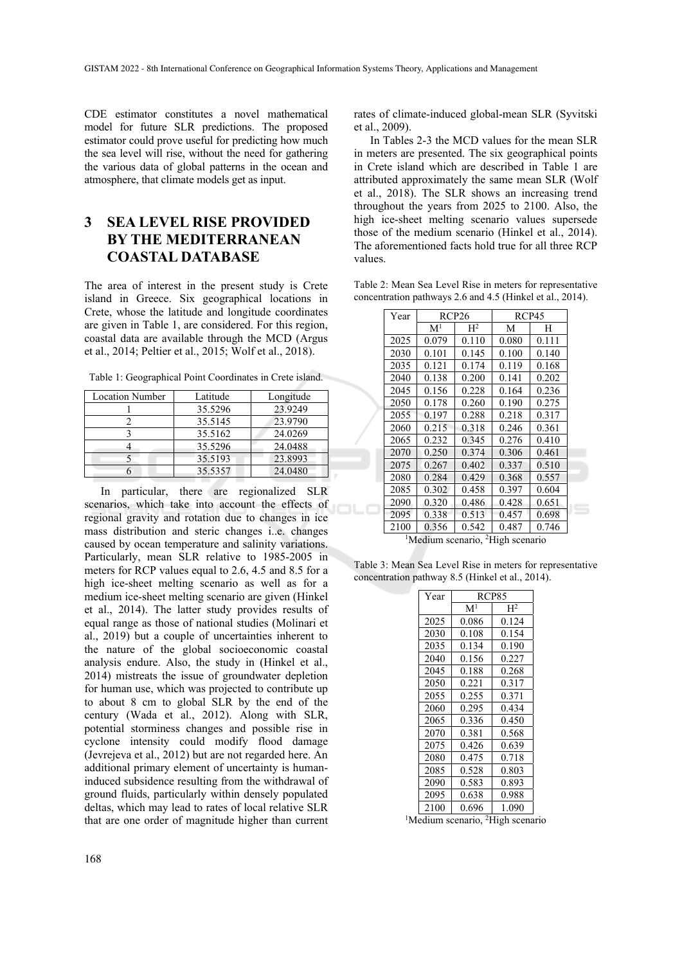CDE estimator constitutes a novel mathematical model for future SLR predictions. The proposed estimator could prove useful for predicting how much the sea level will rise, without the need for gathering the various data of global patterns in the ocean and atmosphere, that climate models get as input.

## **3 SEA LEVEL RISE PROVIDED BY THE MEDITERRANEAN COASTAL DATABASE**

The area of interest in the present study is Crete island in Greece. Six geographical locations in Crete, whose the latitude and longitude coordinates are given in Table 1, are considered. For this region, coastal data are available through the MCD (Argus et al., 2014; Peltier et al., 2015; Wolf et al., 2018).

Table 1: Geographical Point Coordinates in Crete island.

| <b>Location Number</b> | Latitude | Longitude |
|------------------------|----------|-----------|
|                        | 35.5296  | 23.9249   |
|                        | 35.5145  | 23.9790   |
|                        | 35.5162  | 24.0269   |
|                        | 35.5296  | 24.0488   |
|                        | 35.5193  | 23.8993   |
|                        | 35.5357  | 24.0480   |

In particular, there are regionalized SLR scenarios, which take into account the effects of regional gravity and rotation due to changes in ice mass distribution and steric changes i..e. changes caused by ocean temperature and salinity variations. Particularly, mean SLR relative to 1985-2005 in meters for RCP values equal to 2.6, 4.5 and 8.5 for a high ice-sheet melting scenario as well as for a medium ice-sheet melting scenario are given (Hinkel et al., 2014). The latter study provides results of equal range as those of national studies (Molinari et al., 2019) but a couple of uncertainties inherent to the nature of the global socioeconomic coastal analysis endure. Also, the study in (Hinkel et al., 2014) mistreats the issue of groundwater depletion for human use, which was projected to contribute up to about 8 cm to global SLR by the end of the century (Wada et al., 2012). Along with SLR, potential storminess changes and possible rise in cyclone intensity could modify flood damage (Jevrejeva et al., 2012) but are not regarded here. An additional primary element of uncertainty is humaninduced subsidence resulting from the withdrawal of ground fluids, particularly within densely populated deltas, which may lead to rates of local relative SLR that are one order of magnitude higher than current

rates of climate-induced global-mean SLR (Syvitski et al., 2009).

In Tables 2-3 the MCD values for the mean SLR in meters are presented. The six geographical points in Crete island which are described in Table 1 are attributed approximately the same mean SLR (Wolf et al., 2018). The SLR shows an increasing trend throughout the years from 2025 to 2100. Also, the high ice-sheet melting scenario values supersede those of the medium scenario (Hinkel et al., 2014). The aforementioned facts hold true for all three RCP values.

Table 2: Mean Sea Level Rise in meters for representative concentration pathways 2.6 and 4.5 (Hinkel et al., 2014).

| Year | RCP <sub>26</sub> |                | RCP45 |       |
|------|-------------------|----------------|-------|-------|
|      | M <sup>1</sup>    | $\mathrm{H}^2$ | М     | H     |
| 2025 | 0.079             | 0.110          | 0.080 | 0.111 |
| 2030 | 0.101             | 0.145          | 0.100 | 0.140 |
| 2035 | 0.121             | 0.174          | 0.119 | 0.168 |
| 2040 | 0.138             | 0.200          | 0.141 | 0.202 |
| 2045 | 0.156             | 0.228          | 0.164 | 0.236 |
| 2050 | 0.178             | 0.260          | 0.190 | 0.275 |
| 2055 | 0.197             | 0.288          | 0.218 | 0.317 |
| 2060 | 0.215             | 0.318          | 0.246 | 0.361 |
| 2065 | 0.232             | 0.345          | 0.276 | 0.410 |
| 2070 | 0.250             | 0.374          | 0.306 | 0.461 |
| 2075 | 0.267             | 0.402          | 0.337 | 0.510 |
| 2080 | 0.284             | 0.429          | 0.368 | 0.557 |
| 2085 | 0.302             | 0.458          | 0.397 | 0.604 |
| 2090 | 0.320             | 0.486          | 0.428 | 0.651 |
| 2095 | 0.338             | 0.513          | 0.457 | 0.698 |
| 2100 | 0.356             | 0.542          | 0.487 | 0.746 |

Medium scenario, <sup>2</sup>High scenario

Table 3: Mean Sea Level Rise in meters for representative concentration pathway 8.5 (Hinkel et al., 2014).

| Year | RCP85          |                |  |
|------|----------------|----------------|--|
|      | $\mathbf{M}^1$ | H <sup>2</sup> |  |
| 2025 | 0.086          | 0.124          |  |
| 2030 | 0.108          | 0.154          |  |
| 2035 | 0.134          | 0.190          |  |
| 2040 | 0.156          | 0.227          |  |
| 2045 | 0.188          | 0.268          |  |
| 2050 | 0.221          | 0.317          |  |
| 2055 | 0.255          | 0.371          |  |
| 2060 | 0.295          | 0.434          |  |
| 2065 | 0.336          | 0.450          |  |
| 2070 | 0.381          | 0.568          |  |
| 2075 | 0.426          | 0.639          |  |
| 2080 | 0.475          | 0.718          |  |
| 2085 | 0.528          | 0.803          |  |
| 2090 | 0.583          | 0.893          |  |
| 2095 | 0.638          | 0.988          |  |
| 2100 | 0.696          | 1.090          |  |

<sup>1</sup>Medium scenario, <sup>2</sup>High scenario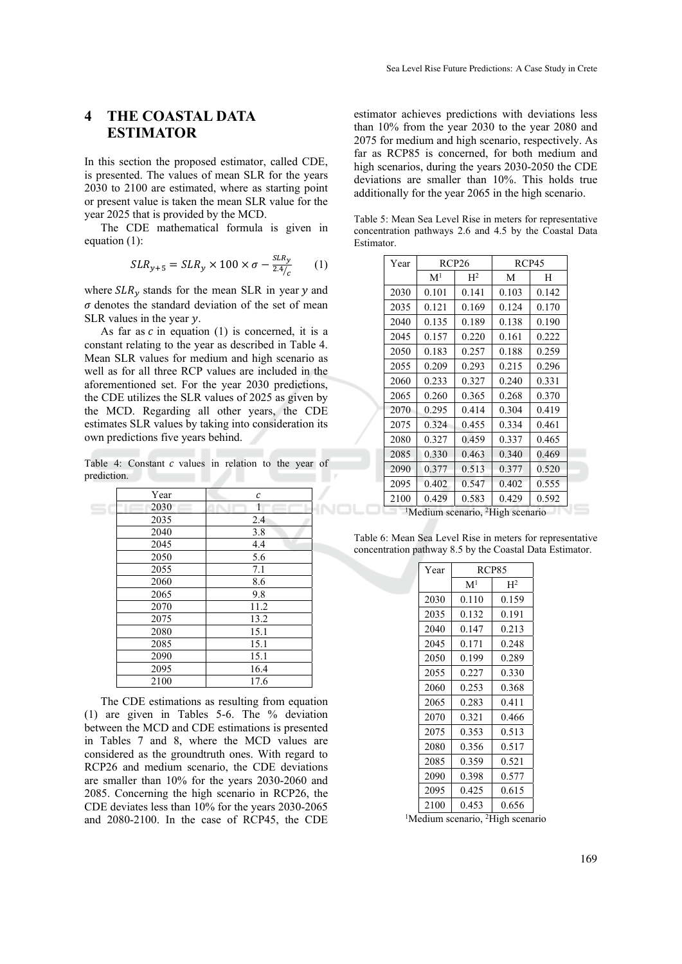#### **4 THE COASTAL DATA ESTIMATOR**

In this section the proposed estimator, called CDE, is presented. The values of mean SLR for the years 2030 to 2100 are estimated, where as starting point or present value is taken the mean SLR value for the year 2025 that is provided by the MCD.

The CDE mathematical formula is given in equation (1):

$$
SLR_{y+5} = SLR_y \times 100 \times \sigma - \frac{SLR_y}{2.4/_{c}} \qquad (1)
$$

where  $SLR<sub>y</sub>$  stands for the mean SLR in year  $y$  and  $\sigma$  denotes the standard deviation of the set of mean SLR values in the year  $\nu$ .

As far as  $c$  in equation (1) is concerned, it is a constant relating to the year as described in Table 4. Mean SLR values for medium and high scenario as well as for all three RCP values are included in the aforementioned set. For the year 2030 predictions, the CDE utilizes the SLR values of 2025 as given by the MCD. Regarding all other years, the CDE estimates SLR values by taking into consideration its own predictions five years behind.

Table 4: Constant  $c$  values in relation to the year of prediction.

| Year | C    |   |
|------|------|---|
| 2030 | 1    |   |
| 2035 | 2.4  |   |
| 2040 | 3.8  | r |
| 2045 | 4.4  | C |
| 2050 | 5.6  |   |
| 2055 | 7.1  |   |
| 2060 | 8.6  |   |
| 2065 | 9.8  |   |
| 2070 | 11.2 |   |
| 2075 | 13.2 |   |
| 2080 | 15.1 |   |
| 2085 | 15.1 |   |
| 2090 | 15.1 |   |
| 2095 | 16.4 |   |
| 2100 | 17.6 |   |

The CDE estimations as resulting from equation (1) are given in Tables 5-6. The % deviation between the MCD and CDE estimations is presented in Tables 7 and 8, where the MCD values are considered as the groundtruth ones. With regard to RCP26 and medium scenario, the CDE deviations are smaller than 10% for the years 2030-2060 and 2085. Concerning the high scenario in RCP26, the CDE deviates less than 10% for the years 2030-2065 and 2080-2100. In the case of RCP45, the CDE

estimator achieves predictions with deviations less than 10% from the year 2030 to the year 2080 and 2075 for medium and high scenario, respectively. As far as RCP85 is concerned, for both medium and high scenarios, during the years 2030-2050 the CDE deviations are smaller than 10%. This holds true additionally for the year 2065 in the high scenario.

Table 5: Mean Sea Level Rise in meters for representative concentration pathways 2.6 and 4.5 by the Coastal Data Estimator.

| Year | RCP <sub>26</sub> |                |       | RCP45 |
|------|-------------------|----------------|-------|-------|
|      | $\mathbf{M}^1$    | H <sup>2</sup> | M     | Н     |
| 2030 | 0.101             | 0.141          | 0.103 | 0.142 |
| 2035 | 0.121             | 0.169          | 0.124 | 0.170 |
| 2040 | 0.135             | 0.189          | 0.138 | 0.190 |
| 2045 | 0.157             | 0.220          | 0.161 | 0.222 |
| 2050 | 0.183             | 0.257          | 0.188 | 0.259 |
| 2055 | 0.209             | 0.293          | 0.215 | 0.296 |
| 2060 | 0.233             | 0.327          | 0.240 | 0.331 |
| 2065 | 0.260             | 0.365          | 0.268 | 0.370 |
| 2070 | 0.295             | 0.414          | 0.304 | 0.419 |
| 2075 | 0.324             | 0.455          | 0.334 | 0.461 |
| 2080 | 0.327             | 0.459          | 0.337 | 0.465 |
| 2085 | 0.330             | 0.463          | 0.340 | 0.469 |
| 2090 | 0.377             | 0.513          | 0.377 | 0.520 |
| 2095 | 0.402             | 0.547          | 0.402 | 0.555 |
| 2100 | 0.429             | 0.583          | 0.429 | 0.592 |

Medium scenario, <sup>2</sup>High scenario

Table 6: Mean Sea Level Rise in meters for representative concentration pathway 8.5 by the Coastal Data Estimator.

| Year | <b>RCP85</b>   |                |  |
|------|----------------|----------------|--|
|      | M <sup>1</sup> | H <sup>2</sup> |  |
| 2030 | 0.110          | 0.159          |  |
| 2035 | 0.132          | 0.191          |  |
| 2040 | 0.147          | 0.213          |  |
| 2045 | 0.171          | 0.248          |  |
| 2050 | 0.199          | 0.289          |  |
| 2055 | 0.227          | 0.330          |  |
| 2060 | 0.253          | 0.368          |  |
| 2065 | 0.283          | 0.411          |  |
| 2070 | 0.321          | 0.466          |  |
| 2075 | 0.353          | 0.513          |  |
| 2080 | 0.356          | 0.517          |  |
| 2085 | 0.359          | 0.521          |  |
| 2090 | 0.398          | 0.577          |  |
| 2095 | 0.425          | 0.615          |  |
| 2100 | 0.453          | 0.656          |  |

 ${}^{1}$ Medium scenario, <sup>2</sup>High scenario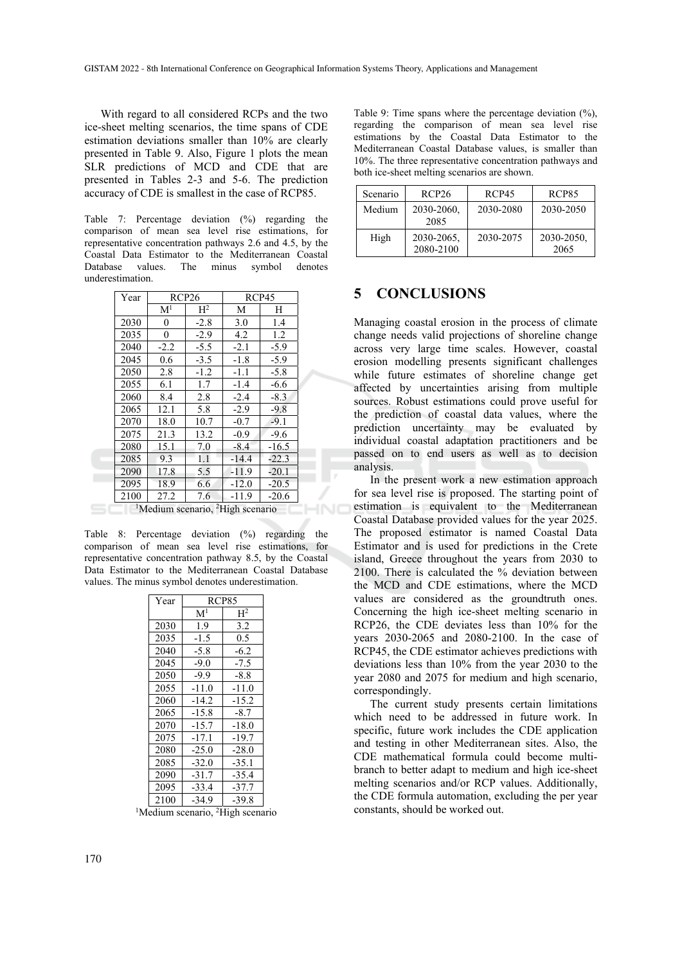With regard to all considered RCPs and the two ice-sheet melting scenarios, the time spans of CDE estimation deviations smaller than 10% are clearly presented in Table 9. Also, Figure 1 plots the mean SLR predictions of MCD and CDE that are presented in Tables 2-3 and 5-6. The prediction accuracy of CDE is smallest in the case of RCP85.

Table 7: Percentage deviation (%) regarding the comparison of mean sea level rise estimations, for representative concentration pathways 2.6 and 4.5, by the Coastal Data Estimator to the Mediterranean Coastal Database values. The minus symbol denotes underestimation.

| Year | RCP <sub>26</sub> |                                                          | RCP45   |         |  |
|------|-------------------|----------------------------------------------------------|---------|---------|--|
|      | M <sup>1</sup>    | $\mathrm{H}^2$                                           | М       | Н       |  |
| 2030 | 0                 | $-2.8$                                                   | 3.0     | 1.4     |  |
| 2035 | 0                 | $-2.9$                                                   | 4.2     | 1.2     |  |
| 2040 | $-2.2$            | $-5.5$                                                   | $-2.1$  | $-5.9$  |  |
| 2045 | 0.6               | $-3.5$                                                   | $-1.8$  | $-5.9$  |  |
| 2050 | 2.8               | $-1.2$                                                   | $-1.1$  | $-5.8$  |  |
| 2055 | 6.1               | 1.7                                                      | $-1.4$  | $-6.6$  |  |
| 2060 | 8.4               | 2.8                                                      | $-2.4$  | $-8.3$  |  |
| 2065 | 12.1              | 5.8                                                      | $-2.9$  | $-9.8$  |  |
| 2070 | 18.0              | 10.7                                                     | $-0.7$  | $-9.1$  |  |
| 2075 | 21.3              | 13.2                                                     | $-0.9$  | $-9.6$  |  |
| 2080 | 15.1              | 7.0                                                      | $-8.4$  | $-16.5$ |  |
| 2085 | 9.3               | 1.1                                                      | $-14.4$ | $-22.3$ |  |
| 2090 | 17.8              | 5.5                                                      | $-11.9$ | $-20.1$ |  |
| 2095 | 18.9              | 6.6                                                      | $-12.0$ | $-20.5$ |  |
| 2100 | 27.2              | 7.6                                                      | $-11.9$ | $-20.6$ |  |
|      |                   | <sup>1</sup> Medium scenario, <sup>2</sup> High scenario |         |         |  |

Table 8: Percentage deviation (%) regarding the comparison of mean sea level rise estimations, for representative concentration pathway 8.5, by the Coastal Data Estimator to the Mediterranean Coastal Database values. The minus symbol denotes underestimation.

| Year | <b>RCP85</b>   |                |  |
|------|----------------|----------------|--|
|      | $\mathbf{M}^1$ | H <sup>2</sup> |  |
| 2030 | 1.9            | 3.2            |  |
| 2035 | $-1.5$         | 0.5            |  |
| 2040 | $-5.8$         | $-6.2$         |  |
| 2045 | $-9.0$         | $-7.5$         |  |
| 2050 | $-9.9$         | $-8.8$         |  |
| 2055 | $-11.0$        | $-11.0$        |  |
| 2060 | $-14.2$        | $-15.2$        |  |
| 2065 | $-15.8$        | $-8.7$         |  |
| 2070 | $-15.7$        | $-18.0$        |  |
| 2075 | $-17.1$        | $-19.7$        |  |
| 2080 | $-25.0$        | $-28.0$        |  |
| 2085 | $-32.0$        | $-35.1$        |  |
| 2090 | $-31.7$        | $-35.4$        |  |
| 2095 | $-33.4$        | $-37.7$        |  |
| 2100 | $-34.9$        | -39.8          |  |

 ${}^{1}$ Medium scenario,  ${}^{2}$ High scenario

Table 9: Time spans where the percentage deviation (%), regarding the comparison of mean sea level rise estimations by the Coastal Data Estimator to the Mediterranean Coastal Database values, is smaller than 10%. The three representative concentration pathways and both ice-sheet melting scenarios are shown.

| Scenario | RCP <sub>26</sub>       | RCP45     | RCP85              |
|----------|-------------------------|-----------|--------------------|
| Medium   | 2030-2060.<br>2085      | 2030-2080 | 2030-2050          |
| High     | 2030-2065,<br>2080-2100 | 2030-2075 | 2030-2050.<br>2065 |

#### **5 CONCLUSIONS**

Managing coastal erosion in the process of climate change needs valid projections of shoreline change across very large time scales. However, coastal erosion modelling presents significant challenges while future estimates of shoreline change get affected by uncertainties arising from multiple sources. Robust estimations could prove useful for the prediction of coastal data values, where the prediction uncertainty may be evaluated by individual coastal adaptation practitioners and be passed on to end users as well as to decision analysis.

In the present work a new estimation approach for sea level rise is proposed. The starting point of estimation is equivalent to the Mediterranean Coastal Database provided values for the year 2025. The proposed estimator is named Coastal Data Estimator and is used for predictions in the Crete island, Greece throughout the years from 2030 to 2100. There is calculated the % deviation between the MCD and CDE estimations, where the MCD values are considered as the groundtruth ones. Concerning the high ice-sheet melting scenario in RCP26, the CDE deviates less than 10% for the years 2030-2065 and 2080-2100. In the case of RCP45, the CDE estimator achieves predictions with deviations less than 10% from the year 2030 to the year 2080 and 2075 for medium and high scenario, correspondingly.

The current study presents certain limitations which need to be addressed in future work. In specific, future work includes the CDE application and testing in other Mediterranean sites. Also, the CDE mathematical formula could become multibranch to better adapt to medium and high ice-sheet melting scenarios and/or RCP values. Additionally, the CDE formula automation, excluding the per year constants, should be worked out.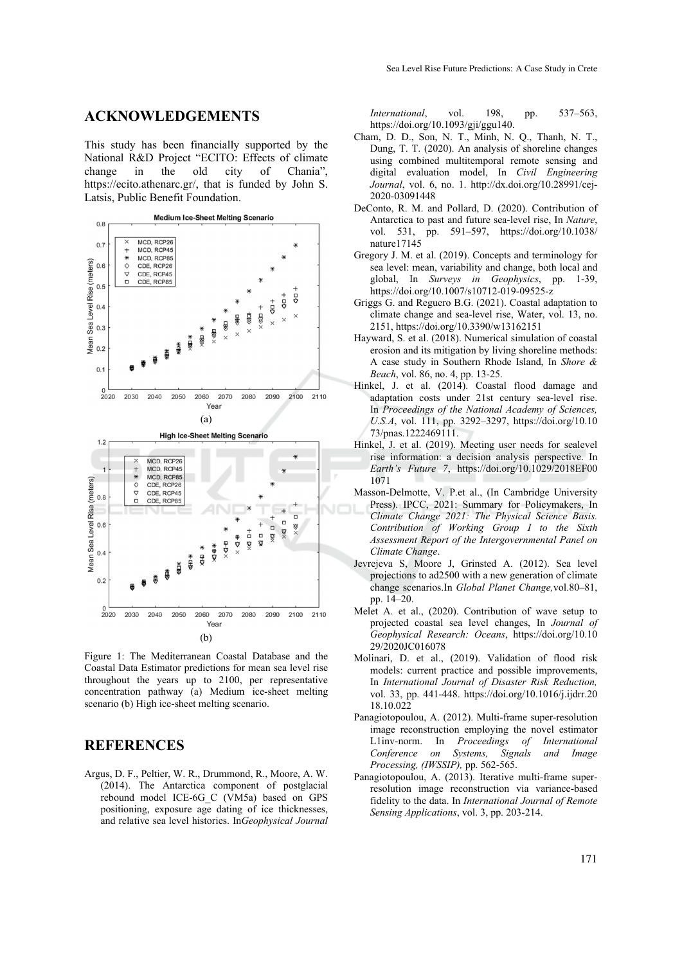#### **ACKNOWLEDGEMENTS**

This study has been financially supported by the National R&D Project "ECITO: Effects of climate change in the old city of Chania", https://ecito.athenarc.gr/, that is funded by John S. Latsis, Public Benefit Foundation.



Figure 1: The Mediterranean Coastal Database and the Coastal Data Estimator predictions for mean sea level rise throughout the years up to 2100, per representative concentration pathway (a) Medium ice-sheet melting scenario (b) High ice-sheet melting scenario.

### **REFERENCES**

Argus, D. F., Peltier, W. R., Drummond, R., Moore, A. W. (2014). The Antarctica component of postglacial rebound model ICE-6G\_C (VM5a) based on GPS positioning, exposure age dating of ice thicknesses, and relative sea level histories. In*Geophysical Journal* 

*International*, vol. 198, pp. 537–563, https://doi.org/10.1093/gji/ggu140.

- Cham, D. D., Son, N. T., Minh, N. Q., Thanh, N. T., Dung, T. T. (2020). An analysis of shoreline changes using combined multitemporal remote sensing and digital evaluation model, In *Civil Engineering Journal*, vol. 6, no. 1. http://dx.doi.org/10.28991/cej-2020-03091448
- DeConto, R. M. and Pollard, D. (2020). Contribution of Antarctica to past and future sea-level rise, In *Nature*, vol. 531, pp. 591–597, https://doi.org/10.1038/ nature17145
- Gregory J. M. et al. (2019). Concepts and terminology for sea level: mean, variability and change, both local and global, In *Surveys in Geophysics*, pp. 1-39, https://doi.org/10.1007/s10712-019-09525-z
- Griggs G. and Reguero B.G. (2021). Coastal adaptation to climate change and sea-level rise, Water, vol. 13, no. 2151, https://doi.org/10.3390/w13162151
- Hayward, S. et al. (2018). Numerical simulation of coastal erosion and its mitigation by living shoreline methods: A case study in Southern Rhode Island, In *Shore & Beach*, vol. 86, no. 4, pp. 13-25.
- Hinkel, J. et al. (2014). Coastal flood damage and adaptation costs under 21st century sea-level rise. In *Proceedings of the National Academy of Sciences, U.S.A*, vol. 111, pp. 3292–3297, https://doi.org/10.10 73/pnas.1222469111.
- Hinkel, J. et al. (2019). Meeting user needs for sealevel rise information: a decision analysis perspective. In *Earth's Future 7*, https://doi.org/10.1029/2018EF00 1071
- Masson-Delmotte, V. P.et al., (In Cambridge University Press). IPCC, 2021: Summary for Policymakers, In *Climate Change 2021: The Physical Science Basis. Contribution of Working Group I to the Sixth Assessment Report of the Intergovernmental Panel on Climate Change*.
- Jevrejeva S, Moore J, Grinsted A. (2012). Sea level projections to ad2500 with a new generation of climate change scenarios.In *Global Planet Change,*vol.80–81, pp. 14–20.
- Melet A. et al., (2020). Contribution of wave setup to projected coastal sea level changes, In *Journal of Geophysical Research: Oceans*, https://doi.org/10.10 29/2020JC016078
- Molinari, D. et al., (2019). Validation of flood risk models: current practice and possible improvements, In *International Journal of Disaster Risk Reduction,*  vol. 33, pp. 441-448. https://doi.org/10.1016/j.ijdrr.20 18.10.022
- Panagiotopoulou, A. (2012). Multi-frame super-resolution image reconstruction employing the novel estimator L1inv-norm. In *Proceedings of International Conference on Systems, Signals and Image Processing, (IWSSIP),* pp. 562-565.
- Panagiotopoulou, A. (2013). Iterative multi-frame superresolution image reconstruction via variance-based fidelity to the data. In *International Journal of Remote Sensing Applications*, vol. 3, pp. 203-214.